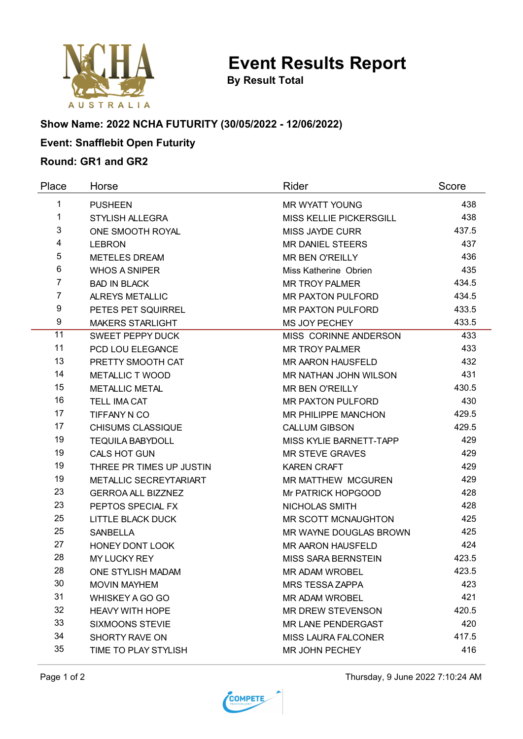

**By Result Total**

# **Show Name: 2022 NCHA FUTURITY (30/05/2022 - 12/06/2022)**

## **Event: Snafflebit Open Futurity**

### **Round: GR1 and GR2**

| Place          | Horse                     | Rider                      | Score |
|----------------|---------------------------|----------------------------|-------|
| 1              | <b>PUSHEEN</b>            | <b>MR WYATT YOUNG</b>      | 438   |
| 1              | <b>STYLISH ALLEGRA</b>    | MISS KELLIE PICKERSGILL    | 438   |
| 3              | ONE SMOOTH ROYAL          | <b>MISS JAYDE CURR</b>     | 437.5 |
| 4              | <b>LEBRON</b>             | <b>MR DANIEL STEERS</b>    | 437   |
| 5              | <b>METELES DREAM</b>      | <b>MR BEN O'REILLY</b>     | 436   |
| 6              | <b>WHOS A SNIPER</b>      | Miss Katherine Obrien      | 435   |
| $\overline{7}$ | <b>BAD IN BLACK</b>       | <b>MR TROY PALMER</b>      | 434.5 |
| $\overline{7}$ | ALREYS METALLIC           | <b>MR PAXTON PULFORD</b>   | 434.5 |
| 9              | PETES PET SQUIRREL        | <b>MR PAXTON PULFORD</b>   | 433.5 |
| 9              | <b>MAKERS STARLIGHT</b>   | MS JOY PECHEY              | 433.5 |
| 11             | <b>SWEET PEPPY DUCK</b>   | MISS CORINNE ANDERSON      | 433   |
| 11             | PCD LOU ELEGANCE          | <b>MR TROY PALMER</b>      | 433   |
| 13             | PRETTY SMOOTH CAT         | <b>MR AARON HAUSFELD</b>   | 432   |
| 14             | <b>METALLIC T WOOD</b>    | MR NATHAN JOHN WILSON      | 431   |
| 15             | <b>METALLIC METAL</b>     | <b>MR BEN O'REILLY</b>     | 430.5 |
| 16             | <b>TELL IMA CAT</b>       | MR PAXTON PULFORD          | 430   |
| 17             | TIFFANY N CO              | MR PHILIPPE MANCHON        | 429.5 |
| 17             | <b>CHISUMS CLASSIQUE</b>  | <b>CALLUM GIBSON</b>       | 429.5 |
| 19             | <b>TEQUILA BABYDOLL</b>   | MISS KYLIE BARNETT-TAPP    | 429   |
| 19             | CALS HOT GUN              | <b>MR STEVE GRAVES</b>     | 429   |
| 19             | THREE PR TIMES UP JUSTIN  | <b>KAREN CRAFT</b>         | 429   |
| 19             | METALLIC SECREYTARIART    | <b>MR MATTHEW MCGUREN</b>  | 429   |
| 23             | <b>GERROA ALL BIZZNEZ</b> | Mr PATRICK HOPGOOD         | 428   |
| 23             | PEPTOS SPECIAL FX         | NICHOLAS SMITH             | 428   |
| 25             | LITTLE BLACK DUCK         | MR SCOTT MCNAUGHTON        | 425   |
| 25             | <b>SANBELLA</b>           | MR WAYNE DOUGLAS BROWN     | 425   |
| 27             | HONEY DONT LOOK           | MR AARON HAUSFELD          | 424   |
| 28             | <b>MY LUCKY REY</b>       | MISS SARA BERNSTEIN        | 423.5 |
| 28             | ONE STYLISH MADAM         | MR ADAM WROBEL             | 423.5 |
| 30             | <b>MOVIN MAYHEM</b>       | <b>MRS TESSA ZAPPA</b>     | 423   |
| 31             | <b>WHISKEY A GO GO</b>    | MR ADAM WROBEL             | 421   |
| 32             | <b>HEAVY WITH HOPE</b>    | <b>MR DREW STEVENSON</b>   | 420.5 |
| 33             | <b>SIXMOONS STEVIE</b>    | MR LANE PENDERGAST         | 420   |
| 34             | SHORTY RAVE ON            | <b>MISS LAURA FALCONER</b> | 417.5 |
| 35             | TIME TO PLAY STYLISH      | MR JOHN PECHEY             | 416   |